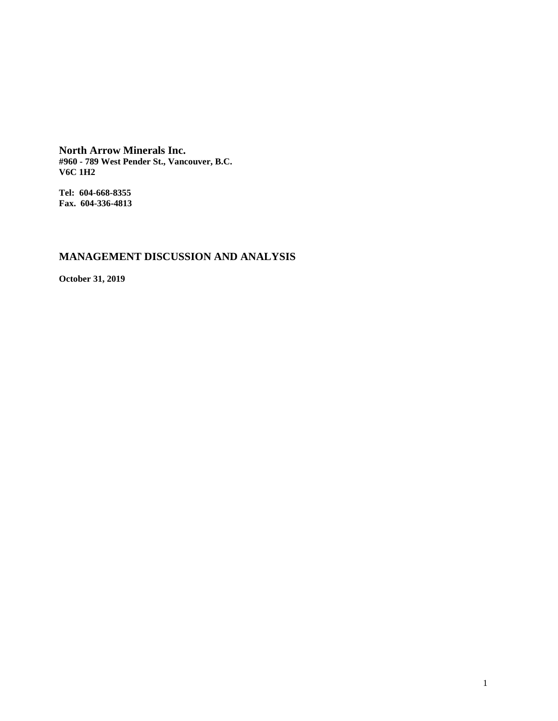**North Arrow Minerals Inc. #960 - 789 West Pender St., Vancouver, B.C. V6C 1H2**

**Tel: 604-668-8355 Fax. 604-336-4813**

# **MANAGEMENT DISCUSSION AND ANALYSIS**

**October 31, 2019**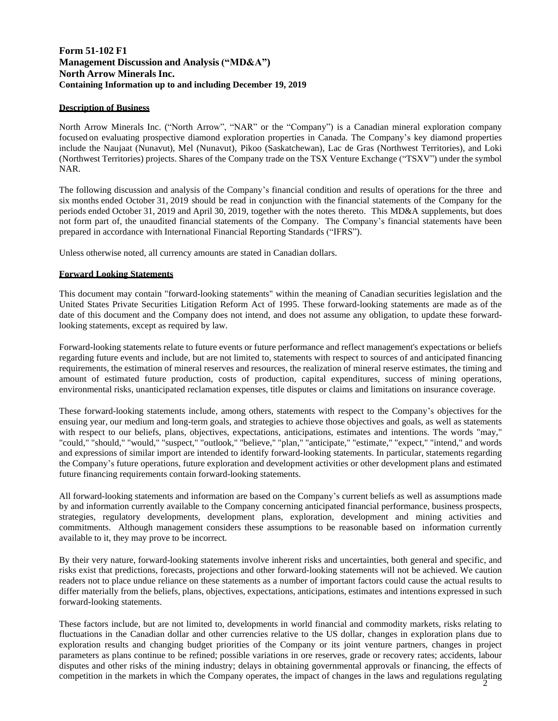# **Form 51-102 F1 Management Discussion and Analysis ("MD&A") North Arrow Minerals Inc. Containing Information up to and including December 19, 2019**

# **Description of Business**

North Arrow Minerals Inc. ("North Arrow", "NAR" or the "Company") is a Canadian mineral exploration company focused on evaluating prospective diamond exploration properties in Canada. The Company's key diamond properties include the Naujaat (Nunavut), Mel (Nunavut), Pikoo (Saskatchewan), Lac de Gras (Northwest Territories), and Loki (Northwest Territories) projects. Shares of the Company trade on the TSX Venture Exchange ("TSXV") under the symbol NAR.

The following discussion and analysis of the Company's financial condition and results of operations for the three and six months ended October 31, 2019 should be read in conjunction with the financial statements of the Company for the periods ended October 31, 2019 and April 30, 2019, together with the notes thereto. This MD&A supplements, but does not form part of, the unaudited financial statements of the Company. The Company's financial statements have been prepared in accordance with International Financial Reporting Standards ("IFRS").

Unless otherwise noted, all currency amounts are stated in Canadian dollars.

### **Forward Looking Statements**

This document may contain "forward-looking statements" within the meaning of Canadian securities legislation and the United States Private Securities Litigation Reform Act of 1995. These forward-looking statements are made as of the date of this document and the Company does not intend, and does not assume any obligation, to update these forwardlooking statements, except as required by law.

Forward-looking statements relate to future events or future performance and reflect management's expectations or beliefs regarding future events and include, but are not limited to, statements with respect to sources of and anticipated financing requirements, the estimation of mineral reserves and resources, the realization of mineral reserve estimates, the timing and amount of estimated future production, costs of production, capital expenditures, success of mining operations, environmental risks, unanticipated reclamation expenses, title disputes or claims and limitations on insurance coverage.

These forward-looking statements include, among others, statements with respect to the Company's objectives for the ensuing year, our medium and long-term goals, and strategies to achieve those objectives and goals, as well as statements with respect to our beliefs, plans, objectives, expectations, anticipations, estimates and intentions. The words "may," "could," "should," "would," "suspect," "outlook," "believe," "plan," "anticipate," "estimate," "expect," "intend," and words and expressions of similar import are intended to identify forward-looking statements. In particular, statements regarding the Company's future operations, future exploration and development activities or other development plans and estimated future financing requirements contain forward-looking statements.

All forward-looking statements and information are based on the Company's current beliefs as well as assumptions made by and information currently available to the Company concerning anticipated financial performance, business prospects, strategies, regulatory developments, development plans, exploration, development and mining activities and commitments. Although management considers these assumptions to be reasonable based on information currently available to it, they may prove to be incorrect.

By their very nature, forward-looking statements involve inherent risks and uncertainties, both general and specific, and risks exist that predictions, forecasts, projections and other forward-looking statements will not be achieved. We caution readers not to place undue reliance on these statements as a number of important factors could cause the actual results to differ materially from the beliefs, plans, objectives, expectations, anticipations, estimates and intentions expressed in such forward-looking statements.

2 competition in the markets in which the Company operates, the impact of changes in the laws and regulations regulatingThese factors include, but are not limited to, developments in world financial and commodity markets, risks relating to fluctuations in the Canadian dollar and other currencies relative to the US dollar, changes in exploration plans due to exploration results and changing budget priorities of the Company or its joint venture partners, changes in project parameters as plans continue to be refined; possible variations in ore reserves, grade or recovery rates; accidents, labour disputes and other risks of the mining industry; delays in obtaining governmental approvals or financing, the effects of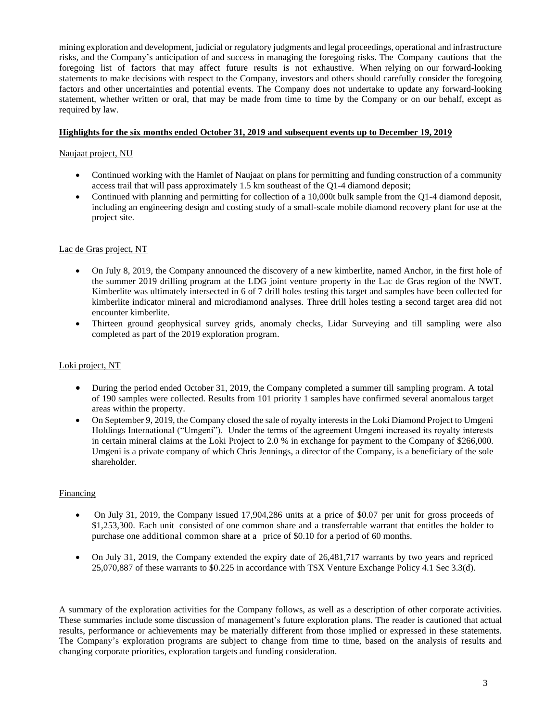mining exploration and development, judicial or regulatory judgments and legal proceedings, operational and infrastructure risks, and the Company's anticipation of and success in managing the foregoing risks. The Company cautions that the foregoing list of factors that may affect future results is not exhaustive. When relying on our forward-looking statements to make decisions with respect to the Company, investors and others should carefully consider the foregoing factors and other uncertainties and potential events. The Company does not undertake to update any forward-looking statement, whether written or oral, that may be made from time to time by the Company or on our behalf, except as required by law.

# **Highlights for the six months ended October 31, 2019 and subsequent events up to December 19, 201**

### Naujaat project, NU

- Continued working with the Hamlet of Naujaat on plans for permitting and funding construction of a community access trail that will pass approximately 1.5 km southeast of the Q1-4 diamond deposit;
- Continued with planning and permitting for collection of a 10,000t bulk sample from the Q1-4 diamond deposit, including an engineering design and costing study of a small-scale mobile diamond recovery plant for use at the project site.

### Lac de Gras project, NT

- On July 8, 2019, the Company announced the discovery of a new kimberlite, named Anchor, in the first hole of the summer 2019 drilling program at the LDG joint venture property in the Lac de Gras region of the NWT. Kimberlite was ultimately intersected in 6 of 7 drill holes testing this target and samples have been collected for kimberlite indicator mineral and microdiamond analyses. Three drill holes testing a second target area did not encounter kimberlite.
- Thirteen ground geophysical survey grids, anomaly checks, Lidar Surveying and till sampling were also completed as part of the 2019 exploration program.

# Loki project, NT

- During the period ended October 31, 2019, the Company completed a summer till sampling program. A total of 190 samples were collected. Results from 101 priority 1 samples have confirmed several anomalous target areas within the property.
- On September 9, 2019, the Company closed the sale of royalty interests in the Loki Diamond Project to Umgeni Holdings International ("Umgeni"). Under the terms of the agreement Umgeni increased its royalty interests in certain mineral claims at the Loki Project to 2.0 % in exchange for payment to the Company of \$266,000. Umgeni is a private company of which Chris Jennings, a director of the Company, is a beneficiary of the sole shareholder.

# Financing

- On July 31, 2019, the Company issued 17,904,286 units at a price of \$0.07 per unit for gross proceeds of \$1,253,300. Each unit consisted of one common share and a transferrable warrant that entitles the holder to purchase one additional common share at a price of \$0.10 for a period of 60 months.
- On July 31, 2019, the Company extended the expiry date of 26,481,717 warrants by two years and repriced 25,070,887 of these warrants to \$0.225 in accordance with TSX Venture Exchange Policy 4.1 Sec 3.3(d).

A summary of the exploration activities for the Company follows, as well as a description of other corporate activities. These summaries include some discussion of management's future exploration plans. The reader is cautioned that actual results, performance or achievements may be materially different from those implied or expressed in these statements. The Company's exploration programs are subject to change from time to time, based on the analysis of results and changing corporate priorities, exploration targets and funding consideration.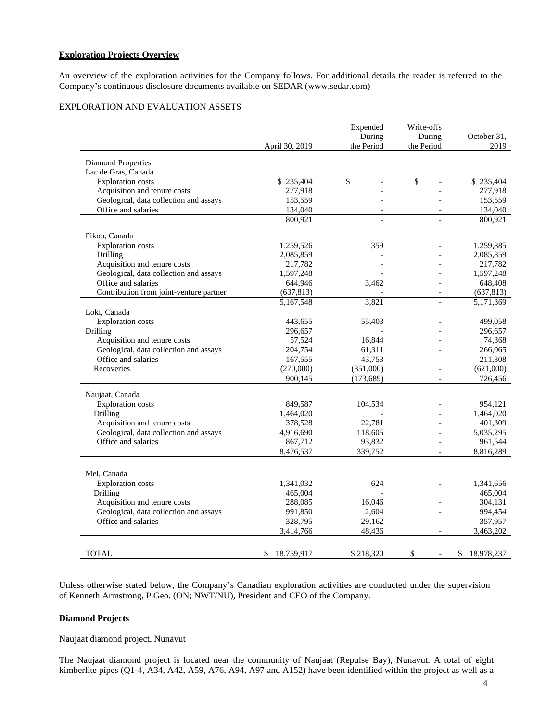### **Exploration Projects Overview**

An overview of the exploration activities for the Company follows. For additional details the reader is referred to the Company's continuous disclosure documents available on [SEDAR \(www.sedar.com](http://www.sedar.com/))

# EXPLORATION AND EVALUATION ASSETS

|                                          |                      | Expended<br>During | Write-offs<br>During     | October 31,          |
|------------------------------------------|----------------------|--------------------|--------------------------|----------------------|
|                                          | April 30, 2019       | the Period         | the Period               | 2019                 |
| Diamond Properties                       |                      |                    |                          |                      |
| Lac de Gras, Canada                      |                      |                    |                          |                      |
| <b>Exploration</b> costs                 | \$235,404            | \$                 | \$                       | \$235,404            |
| Acquisition and tenure costs             | 277,918              |                    |                          | 277,918              |
| Geological, data collection and assays   | 153,559              |                    |                          | 153,559              |
| Office and salaries                      | 134,040              | $\overline{a}$     |                          | 134,040              |
|                                          | 800,921              | $\overline{a}$     | $\overline{a}$           | 800,921              |
| Pikoo, Canada                            |                      |                    |                          |                      |
| <b>Exploration</b> costs                 | 1,259,526            | 359                |                          | 1,259,885            |
| Drilling                                 | 2,085,859            |                    |                          | 2,085,859            |
| Acquisition and tenure costs             | 217,782              |                    |                          | 217,782              |
| Geological, data collection and assays   | 1,597,248            |                    |                          | 1,597,248            |
| Office and salaries                      | 644,946              | 3,462              |                          | 648,408              |
| Contribution from joint-venture partner  | (637, 813)           |                    | $\overline{\phantom{a}}$ | (637, 813)           |
|                                          | 5,167,548            | 3,821              | $\overline{a}$           | 5,171,369            |
| Loki, Canada                             |                      |                    |                          |                      |
| <b>Exploration</b> costs                 | 443,655              | 55,403             |                          | 499,058              |
| Drilling                                 | 296,657              |                    |                          | 296,657              |
| Acquisition and tenure costs             | 57,524               | 16,844             |                          | 74,368               |
| Geological, data collection and assays   | 204,754              | 61,311             |                          | 266,065              |
| Office and salaries                      | 167,555              | 43,753             |                          | 211,308              |
| Recoveries                               | (270,000)            | (351,000)          | $\overline{\phantom{a}}$ | (621,000)            |
|                                          | 900,145              | (173, 689)         | $\overline{a}$           | 726,456              |
|                                          |                      |                    |                          |                      |
| Naujaat, Canada                          |                      |                    |                          |                      |
| <b>Exploration</b> costs                 | 849,587              | 104,534            |                          | 954,121              |
| Drilling<br>Acquisition and tenure costs | 1,464,020            | 22,781             |                          | 1,464,020            |
| Geological, data collection and assays   | 378,528<br>4,916,690 | 118,605            | $\overline{a}$           | 401,309<br>5,035,295 |
| Office and salaries                      | 867,712              | 93,832             | $\overline{a}$           | 961,544              |
|                                          | 8,476,537            | 339,752            | $\overline{a}$           | 8,816,289            |
|                                          |                      |                    |                          |                      |
| Mel, Canada                              |                      |                    |                          |                      |
| <b>Exploration</b> costs                 | 1,341,032            | 624                |                          | 1,341,656            |
| Drilling                                 | 465,004              |                    |                          | 465,004              |
| Acquisition and tenure costs             | 288,085              | 16,046             |                          | 304,131              |
| Geological, data collection and assays   | 991,850              | 2,604              |                          | 994,454              |
| Office and salaries                      | 328,795              | 29,162             | $\blacksquare$           | 357,957              |
|                                          | 3,414,766            | 48,436             | $\qquad \qquad \Box$     | 3,463,202            |
|                                          |                      |                    |                          |                      |
| <b>TOTAL</b>                             | \$<br>18,759,917     | \$218,320          | \$                       | \$<br>18,978,237     |

Unless otherwise stated below, the Company's Canadian exploration activities are conducted under the supervision of Kenneth Armstrong, P.Geo. (ON; NWT/NU), President and CEO of the Company.

#### **Diamond Projects**

#### Naujaat diamond project, Nunavut

The Naujaat diamond project is located near the community of Naujaat (Repulse Bay), Nunavut. A total of eight kimberlite pipes (Q1-4, A34, A42, A59, A76, A94, A97 and A152) have been identified within the project as well as a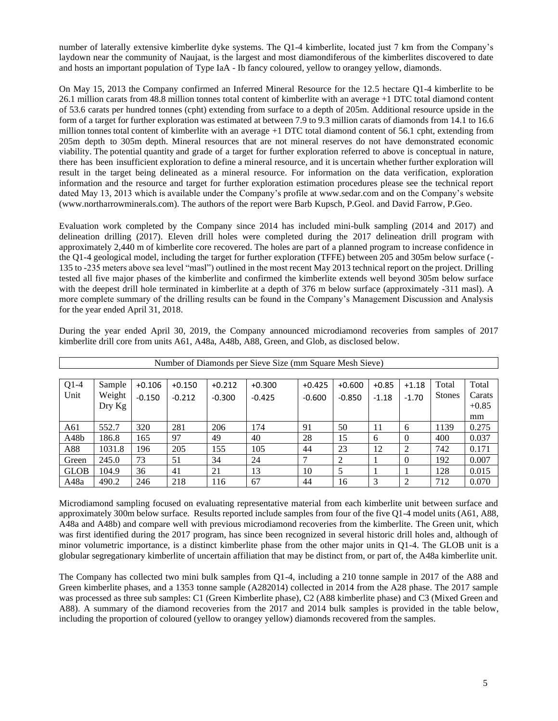number of laterally extensive kimberlite dyke systems. The Q1-4 kimberlite, located just 7 km from the Company's laydown near the community of Naujaat, is the largest and most diamondiferous of the kimberlites discovered to date and hosts an important population of Type IaA - Ib fancy coloured, yellow to orangey yellow, diamonds.

On May 15, 2013 the Company confirmed an Inferred Mineral Resource for the 12.5 hectare Q1-4 kimberlite to be 26.1 million carats from 48.8 million tonnes total content of kimberlite with an average +1 DTC total diamond content of 53.6 carats per hundred tonnes (cpht) extending from surface to a depth of 205m. Additional resource upside in the form of a target for further exploration was estimated at between 7.9 to 9.3 million carats of diamonds from 14.1 to 16.6 million tonnes total content of kimberlite with an average +1 DTC total diamond content of 56.1 cpht, extending from 205m depth to 305m depth. Mineral resources that are not mineral reserves do not have demonstrated economic viability. The potential quantity and grade of a target for further exploration referred to above is conceptual in nature, there has been insufficient exploration to define a mineral resource, and it is uncertain whether further exploration will result in the target being delineated as a mineral resource. For information on the data verification, exploration information and the resource and target for further exploration estimation procedures please see the technical report dated May 13, 2013 which is available under the Company's profile at [www.sedar.com](http://www.sedar.com/) and on the Company's website [\(www.northarrowminerals.com\)](http://www.northarrowminerals.com/). The authors of the report were Barb Kupsch, P.Geol. and David Farrow, P.Geo.

Evaluation work completed by the Company since 2014 has included mini-bulk sampling (2014 and 2017) and delineation drilling (2017). Eleven drill holes were completed during the 2017 delineation drill program with approximately 2,440 m of kimberlite core recovered. The holes are part of a planned program to increase confidence in the Q1-4 geological model, including the target for further exploration (TFFE) between 205 and 305m below surface (- 135 to -235 meters above sea level "masl") outlined in the most recent May 2013 technical report on the project. Drilling tested all five major phases of the kimberlite and confirmed the kimberlite extends well beyond 305m below surface with the deepest drill hole terminated in kimberlite at a depth of 376 m below surface (approximately -311 masl). A more complete summary of the drilling results can be found in the Company's Management Discussion and Analysis for the year ended April 31, 2018.

|             | Number of Diamonds per Sieve Size (mm Square Mesh Sieve) |          |          |          |          |          |          |         |          |               |         |
|-------------|----------------------------------------------------------|----------|----------|----------|----------|----------|----------|---------|----------|---------------|---------|
|             |                                                          |          |          |          |          |          |          |         |          |               |         |
| $Q1-4$      | Sample                                                   | $+0.106$ | $+0.150$ | $+0.212$ | $+0.300$ | $+0.425$ | $+0.600$ | $+0.85$ | $+1.18$  | Total         | Total   |
| Unit        | Weight                                                   | $-0.150$ | $-0.212$ | $-0.300$ | $-0.425$ | $-0.600$ | $-0.850$ | $-1.18$ | $-1.70$  | <b>Stones</b> | Carats  |
|             | Dry Kg                                                   |          |          |          |          |          |          |         |          |               | $+0.85$ |
|             |                                                          |          |          |          |          |          |          |         |          |               | mm      |
| A61         | 552.7                                                    | 320      | 281      | 206      | 174      | 91       | 50       | 11      | 6        | 1139          | 0.275   |
| A48b        | 186.8                                                    | 165      | 97       | 49       | 40       | 28       | 15       | 6       | $\theta$ | 400           | 0.037   |
| A88         | 1031.8                                                   | 196      | 205      | 155      | 105      | 44       | 23       | 12      | 2        | 742           | 0.171   |
| Green       | 245.0                                                    | 73       | 51       | 34       | 24       |          | 2        |         | $\theta$ | 192           | 0.007   |
| <b>GLOB</b> | 104.9                                                    | 36       | 41       | 21       | 13       | 10       | 5        |         |          | 128           | 0.015   |
| A48a        | 490.2                                                    | 246      | 218      | 116      | 67       | 44       | 16       | 3       | 2        | 712           | 0.070   |

During the year ended April 30, 2019, the Company announced microdiamond recoveries from samples of 2017 kimberlite drill core from units A61, A48a, A48b, A88, Green, and Glob, as disclosed below.

Microdiamond sampling focused on evaluating representative material from each kimberlite unit between surface and approximately 300m below surface. Results reported include samples from four of the five Q1-4 model units (A61, A88, A48a and A48b) and compare well with previous microdiamond recoveries from the kimberlite. The Green unit, which was first identified during the 2017 program, has since been recognized in several historic drill holes and, although of minor volumetric importance, is a distinct kimberlite phase from the other major units in Q1-4. The GLOB unit is a globular segregationary kimberlite of uncertain affiliation that may be distinct from, or part of, the A48a kimberlite unit.

The Company has collected two mini bulk samples from Q1-4, including a 210 tonne sample in 2017 of the A88 and Green kimberlite phases, and a 1353 tonne sample (A282014) collected in 2014 from the A28 phase. The 2017 sample was processed as three sub samples: C1 (Green Kimberlite phase), C2 (A88 kimberlite phase) and C3 (Mixed Green and A88). A summary of the diamond recoveries from the 2017 and 2014 bulk samples is provided in the table below, including the proportion of coloured (yellow to orangey yellow) diamonds recovered from the samples.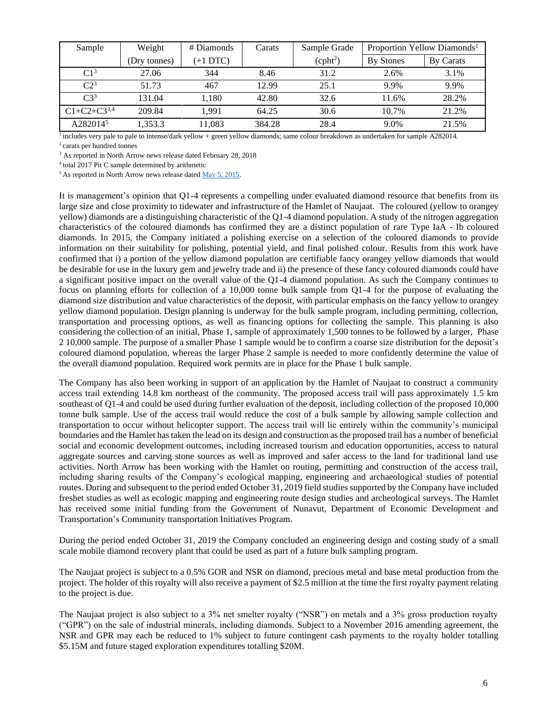| Sample               | Weight       | # Diamonds | Carats | Sample Grade         |           | Proportion Yellow Diamonds <sup>1</sup> |
|----------------------|--------------|------------|--------|----------------------|-----------|-----------------------------------------|
|                      | (Dry tonnes) | $(+1 DTC)$ |        | (cpht <sup>2</sup> ) | By Stones | By Carats                               |
| C1 <sup>3</sup>      | 27.06        | 344        | 8.46   | 31.2                 | 2.6%      | 3.1%                                    |
| C2 <sup>3</sup>      | 51.73        | 467        | 12.99  | 25.1                 | 9.9%      | 9.9%                                    |
| $C3^3$               | 131.04       | 1.180      | 42.80  | 32.6                 | 11.6%     | 28.2%                                   |
| $C1 + C2 + C3^{3,4}$ | 209.84       | 1.991      | 64.25  | 30.6                 | 10.7%     | 21.2%                                   |
| A282014 <sup>5</sup> | 1.353.3      | 11.083     | 384.28 | 28.4                 | 9.0%      | 21.5%                                   |

<sup>1</sup> includes very pale to pale to intense/dark yellow + green yellow diamonds; same colour breakdown as undertaken for sample A282014.

<sup>2</sup>carats per hundred tonnes

<sup>3</sup> As reported in North Arrow news release dated February 28, 2018

<sup>4</sup>total 2017 Pit C sample determined by arithmetic

 $5$  As reported in North Arrow news release dated  $\frac{\text{May } 5, 2015}{\text{My } 2015}$ .

It is management's opinion that Q1-4 represents a compelling under evaluated diamond resource that benefits from its large size and close proximity to tidewater and infrastructure of the Hamlet of Naujaat. The coloured (yellow to orangey yellow) diamonds are a distinguishing characteristic of the Q1-4 diamond population. A study of the nitrogen aggregation characteristics of the coloured diamonds has confirmed they are a distinct population of rare Type IaA - Ib coloured diamonds. In 2015, the Company initiated a polishing exercise on a selection of the coloured diamonds to provide information on their suitability for polishing, potential yield, and final polished colour. Results from this work have confirmed that i) a portion of the yellow diamond population are certifiable fancy orangey yellow diamonds that would be desirable for use in the luxury gem and jewelry trade and ii) the presence of these fancy coloured diamonds could have a significant positive impact on the overall value of the Q1-4 diamond population. As such the Company continues to focus on planning efforts for collection of a 10,000 tonne bulk sample from Q1-4 for the purpose of evaluating the diamond size distribution and value characteristics of the deposit, with particular emphasis on the fancy yellow to orangey yellow diamond population. Design planning is underway for the bulk sample program, including permitting, collection, transportation and processing options, as well as financing options for collecting the sample. This planning is also considering the collection of an initial, Phase 1, sample of approximately 1,500 tonnes to be followed by a larger, Phase 2 10,000 sample. The purpose of a smaller Phase 1 sample would be to confirm a coarse size distribution for the deposit's coloured diamond population, whereas the larger Phase 2 sample is needed to more confidently determine the value of the overall diamond population. Required work permits are in place for the Phase 1 bulk sample.

The Company has also been working in support of an application by the Hamlet of Naujaat to construct a community access trail extending 14.8 km northeast of the community. The proposed access trail will pass approximately 1.5 km southeast of Q1-4 and could be used during further evaluation of the deposit, including collection of the proposed 10,000 tonne bulk sample. Use of the access trail would reduce the cost of a bulk sample by allowing sample collection and transportation to occur without helicopter support. The access trail will lie entirely within the community's municipal boundaries and the Hamlet has taken the lead on its design and construction as the proposed trail has a number of beneficial social and economic development outcomes, including increased tourism and education opportunities, access to natural aggregate sources and carving stone sources as well as improved and safer access to the land for traditional land use activities. North Arrow has been working with the Hamlet on routing, permitting and construction of the access trail, including sharing results of the Company's ecological mapping, engineering and archaeological studies of potential routes. During and subsequent to the period ended October 31, 2019 field studies supported by the Company have included freshet studies as well as ecologic mapping and engineering route design studies and archeological surveys. The Hamlet has received some initial funding from the Government of Nunavut, Department of Economic Development and Transportation's Community transportation Initiatives Program.

During the period ended October 31, 2019 the Company concluded an engineering design and costing study of a small scale mobile diamond recovery plant that could be used as part of a future bulk sampling program.

The Naujaat project is subject to a 0.5% GOR and NSR on diamond, precious metal and base metal production from the project. The holder of this royalty will also receive a payment of \$2.5 million at the time the first royalty payment relating to the project is due.

The Naujaat project is also subject to a 3% net smelter royalty ("NSR") on metals and a 3% gross production royalty ("GPR") on the sale of industrial minerals, including diamonds. Subject to a November 2016 amending agreement, the NSR and GPR may each be reduced to 1% subject to future contingent cash payments to the royalty holder totalling \$5.15M and future staged exploration expenditures totalling \$20M.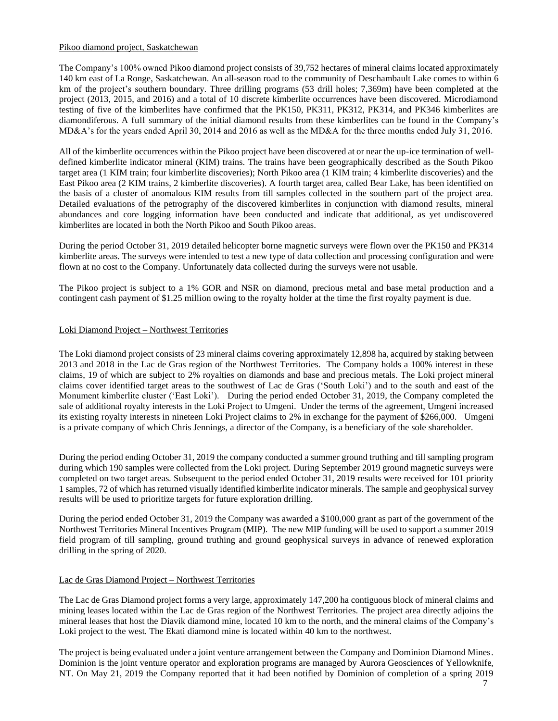### Pikoo diamond project, Saskatchewan

The Company's 100% owned Pikoo diamond project consists of 39,752 hectares of mineral claims located approximately 140 km east of La Ronge, Saskatchewan. An all-season road to the community of Deschambault Lake comes to within 6 km of the project's southern boundary. Three drilling programs (53 drill holes; 7,369m) have been completed at the project (2013, 2015, and 2016) and a total of 10 discrete kimberlite occurrences have been discovered. Microdiamond testing of five of the kimberlites have confirmed that the PK150, PK311, PK312, PK314, and PK346 kimberlites are diamondiferous. A full summary of the initial diamond results from these kimberlites can be found in the Company's MD&A's for the years ended April 30, 2014 and 2016 as well as the MD&A for the three months ended July 31, 2016.

All of the kimberlite occurrences within the Pikoo project have been discovered at or near the up-ice termination of welldefined kimberlite indicator mineral (KIM) trains. The trains have been geographically described as the South Pikoo target area (1 KIM train; four kimberlite discoveries); North Pikoo area (1 KIM train; 4 kimberlite discoveries) and the East Pikoo area (2 KIM trains, 2 kimberlite discoveries). A fourth target area, called Bear Lake, has been identified on the basis of a cluster of anomalous KIM results from till samples collected in the southern part of the project area. Detailed evaluations of the petrography of the discovered kimberlites in conjunction with diamond results, mineral abundances and core logging information have been conducted and indicate that additional, as yet undiscovered kimberlites are located in both the North Pikoo and South Pikoo areas.

During the period October 31, 2019 detailed helicopter borne magnetic surveys were flown over the PK150 and PK314 kimberlite areas. The surveys were intended to test a new type of data collection and processing configuration and were flown at no cost to the Company. Unfortunately data collected during the surveys were not usable.

The Pikoo project is subject to a 1% GOR and NSR on diamond, precious metal and base metal production and a contingent cash payment of \$1.25 million owing to the royalty holder at the time the first royalty payment is due.

### Loki Diamond Project – Northwest Territories

The Loki diamond project consists of 23 mineral claims covering approximately 12,898 ha, acquired by staking between 2013 and 2018 in the Lac de Gras region of the Northwest Territories. The Company holds a 100% interest in these claims, 19 of which are subject to 2% royalties on diamonds and base and precious metals. The Loki project mineral claims cover identified target areas to the southwest of Lac de Gras ('South Loki') and to the south and east of the Monument kimberlite cluster ('East Loki'). During the period ended October 31, 2019, the Company completed the sale of additional royalty interests in the Loki Project to Umgeni. Under the terms of the agreement, Umgeni increased its existing royalty interests in nineteen Loki Project claims to 2% in exchange for the payment of \$266,000. Umgeni is a private company of which Chris Jennings, a director of the Company, is a beneficiary of the sole shareholder.

During the period ending October 31, 2019 the company conducted a summer ground truthing and till sampling program during which 190 samples were collected from the Loki project. During September 2019 ground magnetic surveys were completed on two target areas. Subsequent to the period ended October 31, 2019 results were received for 101 priority 1 samples, 72 of which has returned visually identified kimberlite indicator minerals. The sample and geophysical survey results will be used to prioritize targets for future exploration drilling.

During the period ended October 31, 2019 the Company was awarded a \$100,000 grant as part of the government of the Northwest Territories Mineral Incentives Program (MIP). The new MIP funding will be used to support a summer 2019 field program of till sampling, ground truthing and ground geophysical surveys in advance of renewed exploration drilling in the spring of 2020.

#### Lac de Gras Diamond Project – Northwest Territories

The Lac de Gras Diamond project forms a very large, approximately 147,200 ha contiguous block of mineral claims and mining leases located within the Lac de Gras region of the Northwest Territories. The project area directly adjoins the mineral leases that host the Diavik diamond mine, located 10 km to the north, and the mineral claims of the Company's Loki project to the west. The Ekati diamond mine is located within 40 km to the northwest.

The project is being evaluated under a joint venture arrangement between the Company and Dominion Diamond Mines. Dominion is the joint venture operator and exploration programs are managed by Aurora Geosciences of Yellowknife, NT. On May 21, 2019 the Company reported that it had been notified by Dominion of completion of a spring 2019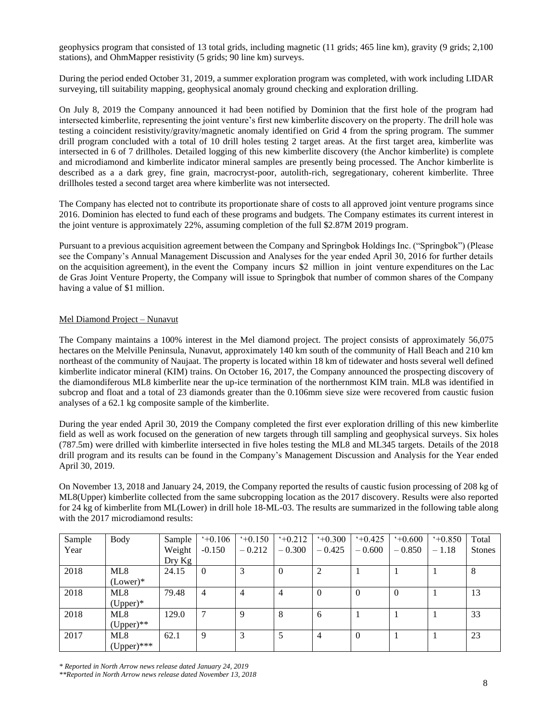geophysics program that consisted of 13 total grids, including magnetic (11 grids; 465 line km), gravity (9 grids; 2,100 stations), and OhmMapper resistivity (5 grids; 90 line km) surveys.

During the period ended October 31, 2019, a summer exploration program was completed, with work including LIDAR surveying, till suitability mapping, geophysical anomaly ground checking and exploration drilling.

On July 8, 2019 the Company announced it had been notified by Dominion that the first hole of the program had intersected kimberlite, representing the joint venture's first new kimberlite discovery on the property. The drill hole was testing a coincident resistivity/gravity/magnetic anomaly identified on Grid 4 from the spring program. The summer drill program concluded with a total of 10 drill holes testing 2 target areas. At the first target area, kimberlite was intersected in 6 of 7 drillholes. Detailed logging of this new kimberlite discovery (the Anchor kimberlite) is complete and microdiamond and kimberlite indicator mineral samples are presently being processed. The Anchor kimberlite is described as a a dark grey, fine grain, macrocryst-poor, autolith-rich, segregationary, coherent kimberlite. Three drillholes tested a second target area where kimberlite was not intersected.

The Company has elected not to contribute its proportionate share of costs to all approved joint venture programs since 2016. Dominion has elected to fund each of these programs and budgets. The Company estimates its current interest in the joint venture is approximately 22%, assuming completion of the full \$2.87M 2019 program.

Pursuant to a previous acquisition agreement between the Company and Springbok Holdings Inc. ("Springbok") (Please see the Company's Annual Management Discussion and Analyses for the year ended April 30, 2016 for further details on the acquisition agreement), in the event the Company incurs \$2 million in joint venture expenditures on the Lac de Gras Joint Venture Property, the Company will issue to Springbok that number of common shares of the Company having a value of \$1 million.

# Mel Diamond Project – Nunavut

The Company maintains a 100% interest in the Mel diamond project. The project consists of approximately 56,075 hectares on the Melville Peninsula, Nunavut, approximately 140 km south of the community of Hall Beach and 210 km northeast of the community of Naujaat. The property is located within 18 km of tidewater and hosts several well defined kimberlite indicator mineral (KIM) trains. On October 16, 2017, the Company announced the prospecting discovery of the diamondiferous ML8 kimberlite near the up-ice termination of the northernmost KIM train. ML8 was identified in subcrop and float and a total of 23 diamonds greater than the 0.106mm sieve size were recovered from caustic fusion analyses of a 62.1 kg composite sample of the kimberlite.

During the year ended April 30, 2019 the Company completed the first ever exploration drilling of this new kimberlite field as well as work focused on the generation of new targets through till sampling and geophysical surveys. Six holes (787.5m) were drilled with kimberlite intersected in five holes testing the ML8 and ML345 targets. Details of the 2018 drill program and its results can be found in the Company's Management Discussion and Analysis for the Year ended April 30, 2019.

On November 13, 2018 and January 24, 2019, the Company reported the results of caustic fusion processing of 208 kg of ML8(Upper) kimberlite collected from the same subcropping location as the 2017 discovery. Results were also reported for 24 kg of kimberlite from ML(Lower) in drill hole 18-ML-03. The results are summarized in the following table along with the 2017 microdiamond results:

| Sample | Body          | Sample | $+0.106$       | $+0.150$       | 40.212         | $+0.300$ | $+0.425$       | $+0.600$ | $+0.850$ | Total         |
|--------|---------------|--------|----------------|----------------|----------------|----------|----------------|----------|----------|---------------|
| Year   |               | Weight | $-0.150$       | $-0.212$       | $-0.300$       | $-0.425$ | $-0.600$       | $-0.850$ | $-1.18$  | <b>Stones</b> |
|        |               | Dry Kg |                |                |                |          |                |          |          |               |
| 2018   | ML8           | 24.15  | $\overline{0}$ | 3              | $\overline{0}$ | 2        |                |          |          | 8             |
|        | $(Lower)*$    |        |                |                |                |          |                |          |          |               |
| 2018   | ML8           | 79.48  | $\overline{4}$ | $\overline{4}$ | 4              | $\Omega$ | $\Omega$       | $\Omega$ |          | 13            |
|        | $(Upper)*$    |        |                |                |                |          |                |          |          |               |
| 2018   | ML8           | 129.0  | 7              | Q              | 8              | 6        |                |          |          | 33            |
|        | $(Upper)$ **  |        |                |                |                |          |                |          |          |               |
| 2017   | ML8           | 62.1   | 9              | 3              |                | 4        | $\overline{0}$ |          |          | 23            |
|        | $(Upper)$ *** |        |                |                |                |          |                |          |          |               |

*\* Reported in North Arrow news release dated January 24, 2019*

*\*\*Reported in North Arrow news release dated November 13, 2018*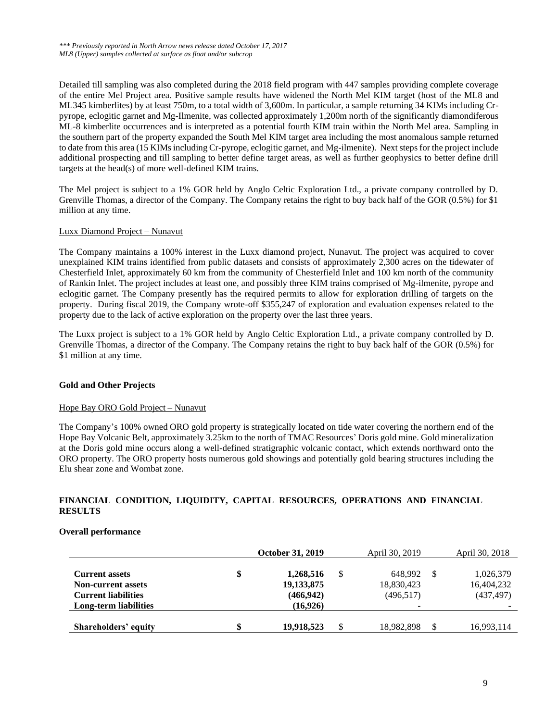Detailed till sampling was also completed during the 2018 field program with 447 samples providing complete coverage of the entire Mel Project area. Positive sample results have widened the North Mel KIM target (host of the ML8 and ML345 kimberlites) by at least 750m, to a total width of 3,600m. In particular, a sample returning 34 KIMs including Crpyrope, eclogitic garnet and Mg-Ilmenite, was collected approximately 1,200m north of the significantly diamondiferous ML-8 kimberlite occurrences and is interpreted as a potential fourth KIM train within the North Mel area. Sampling in the southern part of the property expanded the South Mel KIM target area including the most anomalous sample returned to date from this area (15 KIMsincluding Cr-pyrope, eclogitic garnet, and Mg-ilmenite). Next steps for the project include additional prospecting and till sampling to better define target areas, as well as further geophysics to better define drill targets at the head(s) of more well-defined KIM trains.

The Mel project is subject to a 1% GOR held by Anglo Celtic Exploration Ltd., a private company controlled by D. Grenville Thomas, a director of the Company. The Company retains the right to buy back half of the GOR (0.5%) for \$1 million at any time.

# Luxx Diamond Project – Nunavut

The Company maintains a 100% interest in the Luxx diamond project, Nunavut. The project was acquired to cover unexplained KIM trains identified from public datasets and consists of approximately 2,300 acres on the tidewater of Chesterfield Inlet, approximately 60 km from the community of Chesterfield Inlet and 100 km north of the community of Rankin Inlet. The project includes at least one, and possibly three KIM trains comprised of Mg-ilmenite, pyrope and eclogitic garnet. The Company presently has the required permits to allow for exploration drilling of targets on the property. During fiscal 2019, the Company wrote-off \$355,247 of exploration and evaluation expenses related to the property due to the lack of active exploration on the property over the last three years.

The Luxx project is subject to a 1% GOR held by Anglo Celtic Exploration Ltd., a private company controlled by D. Grenville Thomas, a director of the Company. The Company retains the right to buy back half of the GOR (0.5%) for \$1 million at any time.

# **Gold and Other Projects**

#### Hope Bay ORO Gold Project – Nunavut

The Company's 100% owned ORO gold property is strategically located on tide water covering the northern end of the Hope Bay Volcanic Belt, approximately 3.25km to the north of TMAC Resources' Doris gold mine. Gold mineralization at the Doris gold mine occurs along a well-defined stratigraphic volcanic contact, which extends northward onto the ORO property. The ORO property hosts numerous gold showings and potentially gold bearing structures including the Elu shear zone and Wombat zone.

# **FINANCIAL CONDITION, LIQUIDITY, CAPITAL RESOURCES, OPERATIONS AND FINANCIAL RESULTS**

# **Overall performance**

|                            | <b>October 31, 2019</b> | April 30, 2019   | April 30, 2018 |
|----------------------------|-------------------------|------------------|----------------|
| <b>Current assets</b>      | \$<br>1,268,516         | \$<br>648.992    | 1,026,379      |
| <b>Non-current assets</b>  | 19, 133, 875            | 18,830,423       | 16,404,232     |
| <b>Current liabilities</b> | (466, 942)              | (496, 517)       | (437, 497)     |
| Long-term liabilities      | (16,926)                | $\sim$           |                |
| Shareholders' equity       | \$<br>19,918,523        | \$<br>18,982,898 | 16,993,114     |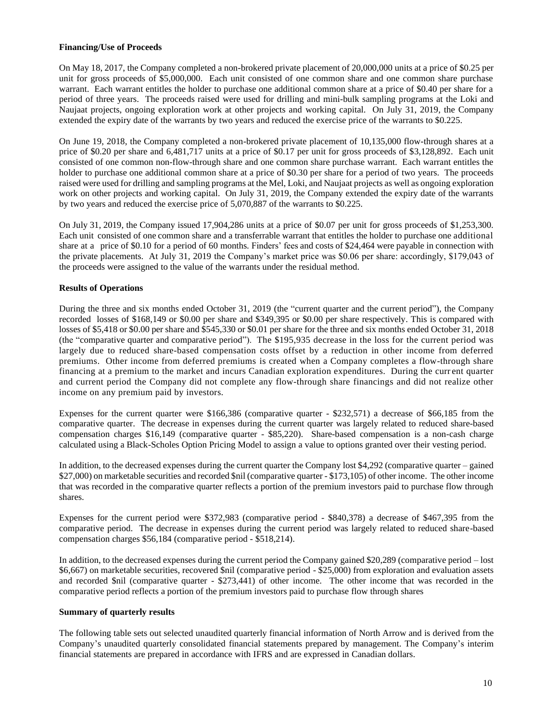### **Financing/Use of Proceeds**

On May 18, 2017, the Company completed a non-brokered private placement of 20,000,000 units at a price of \$0.25 per unit for gross proceeds of \$5,000,000. Each unit consisted of one common share and one common share purchase warrant. Each warrant entitles the holder to purchase one additional common share at a price of \$0.40 per share for a period of three years. The proceeds raised were used for drilling and mini-bulk sampling programs at the Loki and Naujaat projects, ongoing exploration work at other projects and working capital. On July 31, 2019, the Company extended the expiry date of the warrants by two years and reduced the exercise price of the warrants to \$0.225.

On June 19, 2018, the Company completed a non-brokered private placement of 10,135,000 flow-through shares at a price of \$0.20 per share and 6,481,717 units at a price of \$0.17 per unit for gross proceeds of \$3,128,892. Each unit consisted of one common non-flow-through share and one common share purchase warrant. Each warrant entitles the holder to purchase one additional common share at a price of \$0.30 per share for a period of two years. The proceeds raised were used for drilling and sampling programs at the Mel, Loki, and Naujaat projects as well as ongoing exploration work on other projects and working capital. On July 31, 2019, the Company extended the expiry date of the warrants by two years and reduced the exercise price of 5,070,887 of the warrants to \$0.225.

On July 31, 2019, the Company issued 17,904,286 units at a price of \$0.07 per unit for gross proceeds of \$1,253,300. Each unit consisted of one common share and a transferrable warrant that entitles the holder to purchase one additional share at a price of \$0.10 for a period of 60 months. Finders' fees and costs of \$24,464 were payable in connection with the private placements. At July 31, 2019 the Company's market price was \$0.06 per share: accordingly, \$179,043 of the proceeds were assigned to the value of the warrants under the residual method.

# **Results of Operations**

During the three and six months ended October 31, 2019 (the "current quarter and the current period"), the Company recorded losses of \$168,149 or \$0.00 per share and \$349,395 or \$0.00 per share respectively. This is compared with losses of \$5,418 or \$0.00 per share and \$545,330 or \$0.01 per share for the three and six months ended October 31, 2018 (the "comparative quarter and comparative period"). The \$195,935 decrease in the loss for the current period was largely due to reduced share-based compensation costs offset by a reduction in other income from deferred premiums. Other income from deferred premiums is created when a Company completes a flow-through share financing at a premium to the market and incurs Canadian exploration expenditures. During the current quarter and current period the Company did not complete any flow-through share financings and did not realize other income on any premium paid by investors.

Expenses for the current quarter were \$166,386 (comparative quarter - \$232,571) a decrease of \$66,185 from the comparative quarter. The decrease in expenses during the current quarter was largely related to reduced share-based compensation charges \$16,149 (comparative quarter - \$85,220). Share-based compensation is a non-cash charge calculated using a Black-Scholes Option Pricing Model to assign a value to options granted over their vesting period.

In addition, to the decreased expenses during the current quarter the Company lost \$4,292 (comparative quarter – gained \$27,000) on marketable securities and recorded \$nil (comparative quarter - \$173,105) of other income. The other income that was recorded in the comparative quarter reflects a portion of the premium investors paid to purchase flow through shares.

Expenses for the current period were \$372,983 (comparative period - \$840,378) a decrease of \$467,395 from the comparative period. The decrease in expenses during the current period was largely related to reduced share-based compensation charges \$56,184 (comparative period - \$518,214).

In addition, to the decreased expenses during the current period the Company gained \$20,289 (comparative period – lost \$6,667) on marketable securities, recovered \$nil (comparative period - \$25,000) from exploration and evaluation assets and recorded \$nil (comparative quarter - \$273,441) of other income. The other income that was recorded in the comparative period reflects a portion of the premium investors paid to purchase flow through shares

#### **Summary of quarterly results**

The following table sets out selected unaudited quarterly financial information of North Arrow and is derived from the Company's unaudited quarterly consolidated financial statements prepared by management. The Company's interim financial statements are prepared in accordance with IFRS and are expressed in Canadian dollars.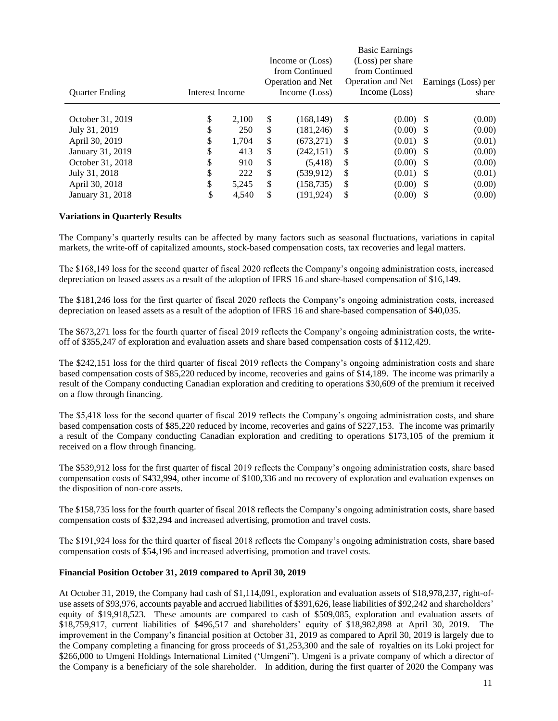|                       |                 |       | Income or (Loss)<br>from Continued<br><b>Operation and Net</b> |    | <b>Basic Earnings</b><br>(Loss) per share<br>from Continued<br><b>Operation and Net</b> | Earnings (Loss) per |
|-----------------------|-----------------|-------|----------------------------------------------------------------|----|-----------------------------------------------------------------------------------------|---------------------|
| <b>Ouarter Ending</b> | Interest Income |       | Income (Loss)                                                  |    | Income (Loss)                                                                           | share               |
| October 31, 2019      | \$              | 2.100 | \$<br>(168, 149)                                               | \$ | $(0.00)$ \$                                                                             | (0.00)              |
| July 31, 2019         | \$              | 250   | \$<br>(181, 246)                                               | S  | $(0.00)$ \$                                                                             | (0.00)              |
| April 30, 2019        | \$              | 1,704 | \$<br>(673, 271)                                               | \$ | $(0.01)$ \$                                                                             | (0.01)              |
| January 31, 2019      | \$              | 413   | \$<br>(242, 151)                                               | \$ | $(0.00)$ \$                                                                             | (0.00)              |
| October 31, 2018      | \$              | 910   | \$<br>(5,418)                                                  | \$ | $(0.00)$ \$                                                                             | (0.00)              |
| July 31, 2018         | \$              | 222   | \$<br>(539, 912)                                               | \$ | $(0.01)$ \$                                                                             | (0.01)              |
| April 30, 2018        | \$              | 5,245 | \$<br>(158, 735)                                               | \$ | $(0.00)$ \$                                                                             | (0.00)              |
| January 31, 2018      | \$              | 4.540 | \$<br>(191, 924)                                               | \$ | $(0.00)$ \$                                                                             | (0.00)              |

### **Variations in Quarterly Results**

The Company's quarterly results can be affected by many factors such as seasonal fluctuations, variations in capital markets, the write-off of capitalized amounts, stock-based compensation costs, tax recoveries and legal matters.

The \$168,149 loss for the second quarter of fiscal 2020 reflects the Company's ongoing administration costs, increased depreciation on leased assets as a result of the adoption of IFRS 16 and share-based compensation of \$16,149.

The \$181,246 loss for the first quarter of fiscal 2020 reflects the Company's ongoing administration costs, increased depreciation on leased assets as a result of the adoption of IFRS 16 and share-based compensation of \$40,035.

The \$673,271 loss for the fourth quarter of fiscal 2019 reflects the Company's ongoing administration costs, the writeoff of \$355,247 of exploration and evaluation assets and share based compensation costs of \$112,429.

The \$242,151 loss for the third quarter of fiscal 2019 reflects the Company's ongoing administration costs and share based compensation costs of \$85,220 reduced by income, recoveries and gains of \$14,189. The income was primarily a result of the Company conducting Canadian exploration and crediting to operations \$30,609 of the premium it received on a flow through financing.

The \$5,418 loss for the second quarter of fiscal 2019 reflects the Company's ongoing administration costs, and share based compensation costs of \$85,220 reduced by income, recoveries and gains of \$227,153. The income was primarily a result of the Company conducting Canadian exploration and crediting to operations \$173,105 of the premium it received on a flow through financing.

The \$539,912 loss for the first quarter of fiscal 2019 reflects the Company's ongoing administration costs, share based compensation costs of \$432,994, other income of \$100,336 and no recovery of exploration and evaluation expenses on the disposition of non-core assets.

The \$158,735 loss for the fourth quarter of fiscal 2018 reflects the Company's ongoing administration costs, share based compensation costs of \$32,294 and increased advertising, promotion and travel costs.

The \$191,924 loss for the third quarter of fiscal 2018 reflects the Company's ongoing administration costs, share based compensation costs of \$54,196 and increased advertising, promotion and travel costs.

### **Financial Position October 31, 2019 compared to April 30, 2019**

At October 31, 2019, the Company had cash of \$1,114,091, exploration and evaluation assets of \$18,978,237, right-ofuse assets of \$93,976, accounts payable and accrued liabilities of \$391,626, lease liabilities of \$92,242 and shareholders' equity of \$19,918,523. These amounts are compared to cash of \$509,085, exploration and evaluation assets of \$18,759,917, current liabilities of \$496,517 and shareholders' equity of \$18,982,898 at April 30, 2019. The improvement in the Company's financial position at October 31, 2019 as compared to April 30, 2019 is largely due to the Company completing a financing for gross proceeds of \$1,253,300 and the sale of royalties on its Loki project for \$266,000 to Umgeni Holdings International Limited ('Umgeni''). Umgeni is a private company of which a director of the Company is a beneficiary of the sole shareholder. In addition, during the first quarter of 2020 the Company was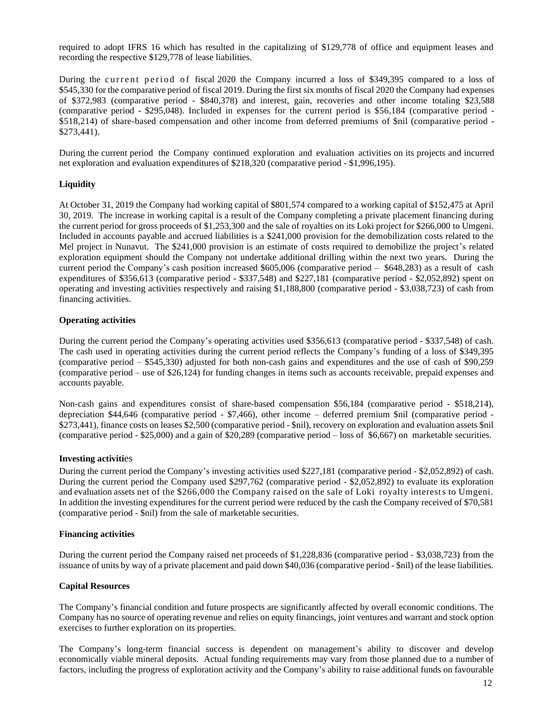required to adopt IFRS 16 which has resulted in the capitalizing of \$129,778 of office and equipment leases and recording the respective \$129,778 of lease liabilities.

During the current period of fiscal 2020 the Company incurred a loss of \$349,395 compared to a loss of \$545,330 for the comparative period of fiscal 2019. During the first six months of fiscal 2020 the Company had expenses of \$372,983 (comparative period - \$840,378) and interest, gain, recoveries and other income totaling \$23,588 (comparative period - \$295,048). Included in expenses for the current period is \$56,184 (comparative period - \$518,214) of share-based compensation and other income from deferred premiums of \$nil (comparative period - \$273,441).

During the current period the Company continued exploration and evaluation activities on its projects and incurred net exploration and evaluation expenditures of \$218,320 (comparative period - \$1,996,195).

### **Liquidity**

At October 31, 2019 the Company had working capital of \$801,574 compared to a working capital of \$152,475 at April 30, 2019. The increase in working capital is a result of the Company completing a private placement financing during the current period for gross proceeds of \$1,253,300 and the sale of royalties on its Loki project for \$266,000 to Umgeni. Included in accounts payable and accrued liabilities is a \$241,000 provision for the demobilization costs related to the Mel project in Nunavut. The \$241,000 provision is an estimate of costs required to demobilize the project's related exploration equipment should the Company not undertake additional drilling within the next two years. During the current period the Company's cash position increased \$605,006 (comparative period – \$648,283) as a result of cash expenditures of \$356,613 (comparative period - \$337,548) and \$227,181 (comparative period - \$2,052,892) spent on operating and investing activities respectively and raising \$1,188,800 (comparative period - \$3,038,723) of cash from financing activities.

### **Operating activities**

During the current period the Company's operating activities used \$356,613 (comparative period - \$337,548) of cash. The cash used in operating activities during the current period reflects the Company's funding of a loss of \$349,395 (comparative period – \$545,330) adjusted for both non-cash gains and expenditures and the use of cash of \$90,259 (comparative period – use of \$26,124) for funding changes in items such as accounts receivable, prepaid expenses and accounts payable.

Non-cash gains and expenditures consist of share-based compensation \$56,184 (comparative period - \$518,214), depreciation \$44,646 (comparative period - \$7,466), other income – deferred premium \$nil (comparative period - \$273,441), finance costs on leases \$2,500 (comparative period - \$nil), recovery on exploration and evaluation assets \$nil (comparative period - \$25,000) and a gain of \$20,289 (comparative period – loss of \$6,667) on marketable securities.

#### **Investing activiti**es

During the current period the Company's investing activities used \$227,181 (comparative period - \$2,052,892) of cash. During the current period the Company used \$297,762 (comparative period - \$2,052,892) to evaluate its exploration and evaluation assets net of the \$266,000 the Company raised on the sale of Loki royalty interests to Umgeni. In addition the investing expenditures for the current period were reduced by the cash the Company received of \$70,581 (comparative period - \$nil) from the sale of marketable securities.

#### **Financing activities**

During the current period the Company raised net proceeds of \$1,228,836 (comparative period - \$3,038,723) from the issuance of units by way of a private placement and paid down \$40,036 (comparative period - \$nil) of the lease liabilities.

#### **Capital Resources**

The Company's financial condition and future prospects are significantly affected by overall economic conditions. The Company has no source of operating revenue and relies on equity financings, joint ventures and warrant and stock option exercises to further exploration on its properties.

The Company's long-term financial success is dependent on management's ability to discover and develop economically viable mineral deposits. Actual funding requirements may vary from those planned due to a number of factors, including the progress of exploration activity and the Company's ability to raise additional funds on favourable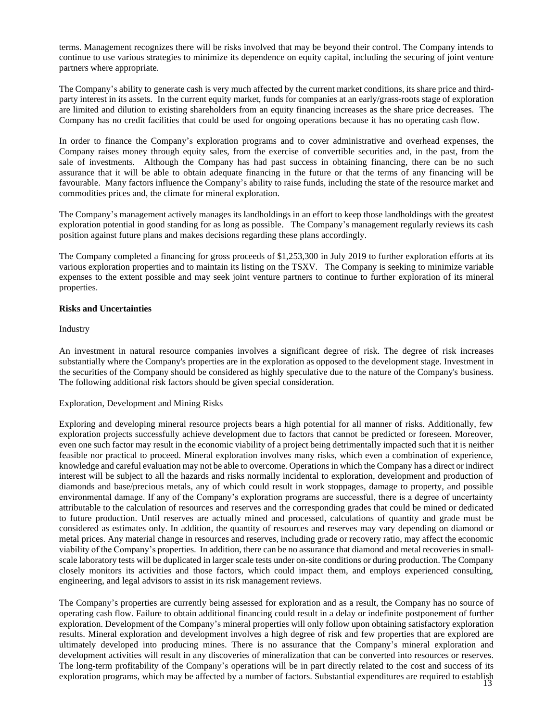terms. Management recognizes there will be risks involved that may be beyond their control. The Company intends to continue to use various strategies to minimize its dependence on equity capital, including the securing of joint venture partners where appropriate.

The Company's ability to generate cash is very much affected by the current market conditions, its share price and thirdparty interest in its assets. In the current equity market, funds for companies at an early/grass-roots stage of exploration are limited and dilution to existing shareholders from an equity financing increases as the share price decreases. The Company has no credit facilities that could be used for ongoing operations because it has no operating cash flow.

In order to finance the Company's exploration programs and to cover administrative and overhead expenses, the Company raises money through equity sales, from the exercise of convertible securities and, in the past, from the sale of investments. Although the Company has had past success in obtaining financing, there can be no such assurance that it will be able to obtain adequate financing in the future or that the terms of any financing will be favourable. Many factors influence the Company's ability to raise funds, including the state of the resource market and commodities prices and, the climate for mineral exploration.

The Company's management actively manages its landholdings in an effort to keep those landholdings with the greatest exploration potential in good standing for as long as possible. The Company's management regularly reviews its cash position against future plans and makes decisions regarding these plans accordingly.

The Company completed a financing for gross proceeds of \$1,253,300 in July 2019 to further exploration efforts at its various exploration properties and to maintain its listing on the TSXV. The Company is seeking to minimize variable expenses to the extent possible and may seek joint venture partners to continue to further exploration of its mineral properties.

# **Risks and Uncertainties**

Industry

An investment in natural resource companies involves a significant degree of risk. The degree of risk increases substantially where the Company's properties are in the exploration as opposed to the development stage. Investment in the securities of the Company should be considered as highly speculative due to the nature of the Company's business. The following additional risk factors should be given special consideration.

# Exploration, Development and Mining Risks

Exploring and developing mineral resource projects bears a high potential for all manner of risks. Additionally, few exploration projects successfully achieve development due to factors that cannot be predicted or foreseen. Moreover, even one such factor may result in the economic viability of a project being detrimentally impacted such that it is neither feasible nor practical to proceed. Mineral exploration involves many risks, which even a combination of experience, knowledge and careful evaluation may not be able to overcome. Operations in which the Company has a direct or indirect interest will be subject to all the hazards and risks normally incidental to exploration, development and production of diamonds and base/precious metals, any of which could result in work stoppages, damage to property, and possible environmental damage. If any of the Company's exploration programs are successful, there is a degree of uncertainty attributable to the calculation of resources and reserves and the corresponding grades that could be mined or dedicated to future production. Until reserves are actually mined and processed, calculations of quantity and grade must be considered as estimates only. In addition, the quantity of resources and reserves may vary depending on diamond or metal prices. Any material change in resources and reserves, including grade or recovery ratio, may affect the economic viability of the Company's properties. In addition, there can be no assurance that diamond and metal recoveries in smallscale laboratory tests will be duplicated in larger scale tests under on-site conditions or during production. The Company closely monitors its activities and those factors, which could impact them, and employs experienced consulting, engineering, and legal advisors to assist in its risk management reviews.

13 exploration programs, which may be affected by a number of factors. Substantial expenditures are required to establishThe Company's properties are currently being assessed for exploration and as a result, the Company has no source of operating cash flow. Failure to obtain additional financing could result in a delay or indefinite postponement of further exploration. Development of the Company's mineral properties will only follow upon obtaining satisfactory exploration results. Mineral exploration and development involves a high degree of risk and few properties that are explored are ultimately developed into producing mines. There is no assurance that the Company's mineral exploration and development activities will result in any discoveries of mineralization that can be converted into resources or reserves. The long-term profitability of the Company's operations will be in part directly related to the cost and success of its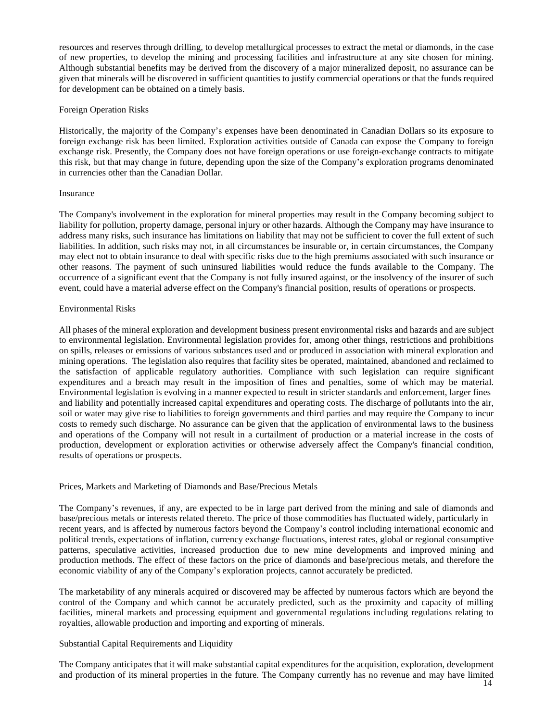resources and reserves through drilling, to develop metallurgical processes to extract the metal or diamonds, in the case of new properties, to develop the mining and processing facilities and infrastructure at any site chosen for mining. Although substantial benefits may be derived from the discovery of a major mineralized deposit, no assurance can be given that minerals will be discovered in sufficient quantities to justify commercial operations or that the funds required for development can be obtained on a timely basis.

### Foreign Operation Risks

Historically, the majority of the Company's expenses have been denominated in Canadian Dollars so its exposure to foreign exchange risk has been limited. Exploration activities outside of Canada can expose the Company to foreign exchange risk. Presently, the Company does not have foreign operations or use foreign-exchange contracts to mitigate this risk, but that may change in future, depending upon the size of the Company's exploration programs denominated in currencies other than the Canadian Dollar.

### Insurance

The Company's involvement in the exploration for mineral properties may result in the Company becoming subject to liability for pollution, property damage, personal injury or other hazards. Although the Company may have insurance to address many risks, such insurance has limitations on liability that may not be sufficient to cover the full extent of such liabilities. In addition, such risks may not, in all circumstances be insurable or, in certain circumstances, the Company may elect not to obtain insurance to deal with specific risks due to the high premiums associated with such insurance or other reasons. The payment of such uninsured liabilities would reduce the funds available to the Company. The occurrence of a significant event that the Company is not fully insured against, or the insolvency of the insurer of such event, could have a material adverse effect on the Company's financial position, results of operations or prospects.

### Environmental Risks

All phases of the mineral exploration and development business present environmental risks and hazards and are subject to environmental legislation. Environmental legislation provides for, among other things, restrictions and prohibitions on spills, releases or emissions of various substances used and or produced in association with mineral exploration and mining operations. The legislation also requires that facility sites be operated, maintained, abandoned and reclaimed to the satisfaction of applicable regulatory authorities. Compliance with such legislation can require significant expenditures and a breach may result in the imposition of fines and penalties, some of which may be material. Environmental legislation is evolving in a manner expected to result in stricter standards and enforcement, larger fines and liability and potentially increased capital expenditures and operating costs. The discharge of pollutants into the air, soil or water may give rise to liabilities to foreign governments and third parties and may require the Company to incur costs to remedy such discharge. No assurance can be given that the application of environmental laws to the business and operations of the Company will not result in a curtailment of production or a material increase in the costs of production, development or exploration activities or otherwise adversely affect the Company's financial condition, results of operations or prospects.

#### Prices, Markets and Marketing of Diamonds and Base/Precious Metals

The Company's revenues, if any, are expected to be in large part derived from the mining and sale of diamonds and base/precious metals or interests related thereto. The price of those commodities has fluctuated widely, particularly in recent years, and is affected by numerous factors beyond the Company's control including international economic and political trends, expectations of inflation, currency exchange fluctuations, interest rates, global or regional consumptive patterns, speculative activities, increased production due to new mine developments and improved mining and production methods. The effect of these factors on the price of diamonds and base/precious metals, and therefore the economic viability of any of the Company's exploration projects, cannot accurately be predicted.

The marketability of any minerals acquired or discovered may be affected by numerous factors which are beyond the control of the Company and which cannot be accurately predicted, such as the proximity and capacity of milling facilities, mineral markets and processing equipment and governmental regulations including regulations relating to royalties, allowable production and importing and exporting of minerals.

# Substantial Capital Requirements and Liquidity

The Company anticipates that it will make substantial capital expenditures for the acquisition, exploration, development and production of its mineral properties in the future. The Company currently has no revenue and may have limited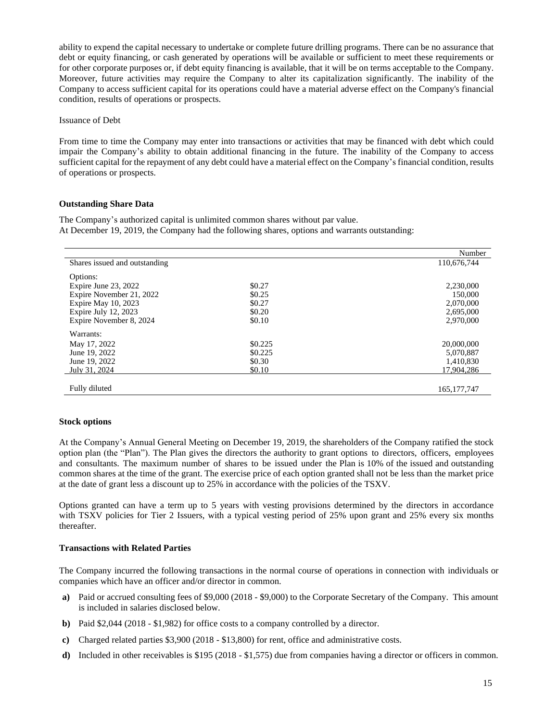ability to expend the capital necessary to undertake or complete future drilling programs. There can be no assurance that debt or equity financing, or cash generated by operations will be available or sufficient to meet these requirements or for other corporate purposes or, if debt equity financing is available, that it will be on terms acceptable to the Company. Moreover, future activities may require the Company to alter its capitalization significantly. The inability of the Company to access sufficient capital for its operations could have a material adverse effect on the Company's financial condition, results of operations or prospects.

#### Issuance of Debt

From time to time the Company may enter into transactions or activities that may be financed with debt which could impair the Company's ability to obtain additional financing in the future. The inability of the Company to access sufficient capital for the repayment of any debt could have a material effect on the Company's financial condition, results of operations or prospects.

### **Outstanding Share Data**

The Company's authorized capital is unlimited common shares without par value. At December 19, 2019, the Company had the following shares, options and warrants outstanding:

|                               |         | Number        |
|-------------------------------|---------|---------------|
| Shares issued and outstanding |         | 110,676,744   |
| Options:                      |         |               |
| Expire June 23, 2022          | \$0.27  | 2,230,000     |
| Expire November 21, 2022      | \$0.25  | 150,000       |
| Expire May 10, 2023           | \$0.27  | 2,070,000     |
| Expire July 12, 2023          | \$0.20  | 2,695,000     |
| Expire November 8, 2024       | \$0.10  | 2,970,000     |
| Warrants:                     |         |               |
| May 17, 2022                  | \$0.225 | 20,000,000    |
| June 19, 2022                 | \$0.225 | 5,070,887     |
| June 19, 2022                 | \$0.30  | 1,410,830     |
| July 31, 2024                 | \$0.10  | 17.904.286    |
|                               |         |               |
| Fully diluted                 |         | 165, 177, 747 |

#### **Stock options**

At the Company's Annual General Meeting on December 19, 2019, the shareholders of the Company ratified the stock option plan (the "Plan"). The Plan gives the directors the authority to grant options to directors, officers, employees and consultants. The maximum number of shares to be issued under the Plan is 10% of the issued and outstanding common shares at the time of the grant. The exercise price of each option granted shall not be less than the market price at the date of grant less a discount up to 25% in accordance with the policies of the TSXV.

Options granted can have a term up to 5 years with vesting provisions determined by the directors in accordance with TSXV policies for Tier 2 Issuers, with a typical vesting period of 25% upon grant and 25% every six months thereafter.

#### **Transactions with Related Parties**

The Company incurred the following transactions in the normal course of operations in connection with individuals or companies which have an officer and/or director in common.

- **a)** Paid or accrued consulting fees of \$9,000 (2018 \$9,000) to the Corporate Secretary of the Company. This amount is included in salaries disclosed below.
- **b)** Paid \$2,044 (2018 \$1,982) for office costs to a company controlled by a director.
- **c)** Charged related parties \$3,900 (2018 \$13,800) for rent, office and administrative costs.
- **d)** Included in other receivables is \$195 (2018 \$1,575) due from companies having a director or officers in common.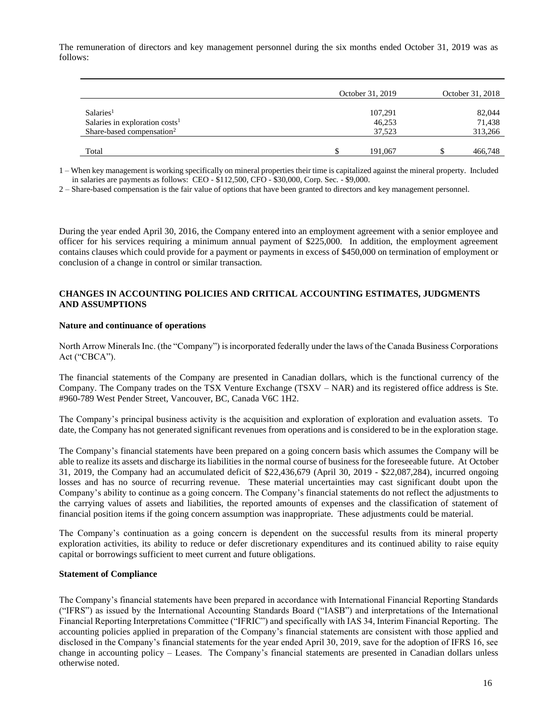The remuneration of directors and key management personnel during the six months ended October 31, 2019 was as follows:

|                                       | October 31, 2019 | October 31, 2018 |
|---------------------------------------|------------------|------------------|
| Salaries <sup>1</sup>                 | 107,291          | 82,044           |
| Salaries in exploration $costs1$      | 46,253           | 71,438           |
| Share-based compensation <sup>2</sup> | 37,523           | 313,266          |
|                                       |                  |                  |
| Total                                 | 191.067          | 466,748          |

1 – When key management is working specifically on mineral properties their time is capitalized against the mineral property. Included in salaries are payments as follows: CEO - \$112,500, CFO - \$30,000, Corp. Sec. - \$9,000.

2 – Share-based compensation is the fair value of options that have been granted to directors and key management personnel.

During the year ended April 30, 2016, the Company entered into an employment agreement with a senior employee and officer for his services requiring a minimum annual payment of \$225,000. In addition, the employment agreement contains clauses which could provide for a payment or payments in excess of \$450,000 on termination of employment or conclusion of a change in control or similar transaction.

### **CHANGES IN ACCOUNTING POLICIES AND CRITICAL ACCOUNTING ESTIMATES, JUDGMENTS AND ASSUMPTIONS**

#### **Nature and continuance of operations**

North Arrow Minerals Inc. (the "Company") is incorporated federally under the laws of the Canada Business Corporations Act ("CBCA").

The financial statements of the Company are presented in Canadian dollars, which is the functional currency of the Company. The Company trades on the TSX Venture Exchange (TSXV – NAR) and its registered office address is Ste. #960-789 West Pender Street, Vancouver, BC, Canada V6C 1H2.

The Company's principal business activity is the acquisition and exploration of exploration and evaluation assets. To date, the Company has not generated significant revenues from operations and is considered to be in the exploration stage.

The Company's financial statements have been prepared on a going concern basis which assumes the Company will be able to realize its assets and discharge its liabilities in the normal course of business for the foreseeable future. At October 31, 2019, the Company had an accumulated deficit of \$22,436,679 (April 30, 2019 - \$22,087,284), incurred ongoing losses and has no source of recurring revenue. These material uncertainties may cast significant doubt upon the Company's ability to continue as a going concern. The Company's financial statements do not reflect the adjustments to the carrying values of assets and liabilities, the reported amounts of expenses and the classification of statement of financial position items if the going concern assumption was inappropriate. These adjustments could be material.

The Company's continuation as a going concern is dependent on the successful results from its mineral property exploration activities, its ability to reduce or defer discretionary expenditures and its continued ability to raise equity capital or borrowings sufficient to meet current and future obligations.

#### **Statement of Compliance**

The Company's financial statements have been prepared in accordance with International Financial Reporting Standards ("IFRS") as issued by the International Accounting Standards Board ("IASB") and interpretations of the International Financial Reporting Interpretations Committee ("IFRIC") and specifically with IAS 34, Interim Financial Reporting. The accounting policies applied in preparation of the Company's financial statements are consistent with those applied and disclosed in the Company's financial statements for the year ended April 30, 2019, save for the adoption of IFRS 16, see change in accounting policy – Leases. The Company's financial statements are presented in Canadian dollars unless otherwise noted.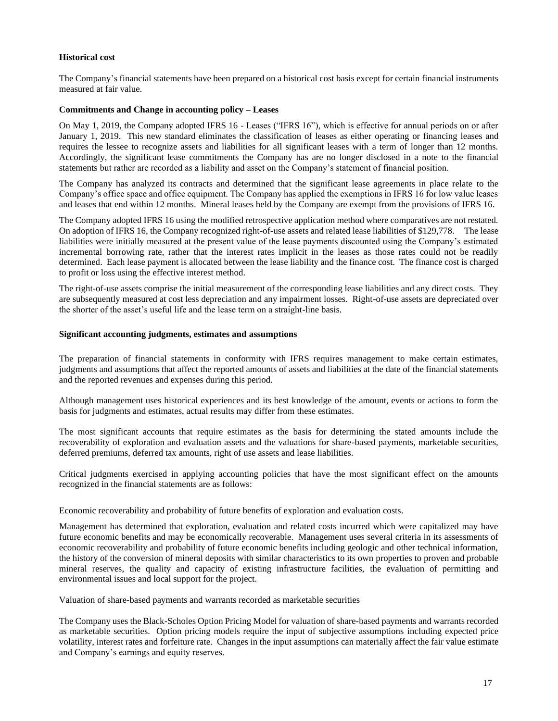# **Historical cost**

The Company's financial statements have been prepared on a historical cost basis except for certain financial instruments measured at fair value.

# **Commitments and Change in accounting policy – Leases**

On May 1, 2019, the Company adopted IFRS 16 - Leases ("IFRS 16"), which is effective for annual periods on or after January 1, 2019. This new standard eliminates the classification of leases as either operating or financing leases and requires the lessee to recognize assets and liabilities for all significant leases with a term of longer than 12 months. Accordingly, the significant lease commitments the Company has are no longer disclosed in a note to the financial statements but rather are recorded as a liability and asset on the Company's statement of financial position.

The Company has analyzed its contracts and determined that the significant lease agreements in place relate to the Company's office space and office equipment. The Company has applied the exemptions in IFRS 16 for low value leases and leases that end within 12 months. Mineral leases held by the Company are exempt from the provisions of IFRS 16.

The Company adopted IFRS 16 using the modified retrospective application method where comparatives are not restated. On adoption of IFRS 16, the Company recognized right-of-use assets and related lease liabilities of \$129,778. The lease liabilities were initially measured at the present value of the lease payments discounted using the Company's estimated incremental borrowing rate, rather that the interest rates implicit in the leases as those rates could not be readily determined. Each lease payment is allocated between the lease liability and the finance cost. The finance cost is charged to profit or loss using the effective interest method.

The right-of-use assets comprise the initial measurement of the corresponding lease liabilities and any direct costs. They are subsequently measured at cost less depreciation and any impairment losses. Right-of-use assets are depreciated over the shorter of the asset's useful life and the lease term on a straight-line basis.

#### **Significant accounting judgments, estimates and assumptions**

The preparation of financial statements in conformity with IFRS requires management to make certain estimates, judgments and assumptions that affect the reported amounts of assets and liabilities at the date of the financial statements and the reported revenues and expenses during this period.

Although management uses historical experiences and its best knowledge of the amount, events or actions to form the basis for judgments and estimates, actual results may differ from these estimates.

The most significant accounts that require estimates as the basis for determining the stated amounts include the recoverability of exploration and evaluation assets and the valuations for share-based payments, marketable securities, deferred premiums, deferred tax amounts, right of use assets and lease liabilities.

Critical judgments exercised in applying accounting policies that have the most significant effect on the amounts recognized in the financial statements are as follows:

Economic recoverability and probability of future benefits of exploration and evaluation costs*.* 

Management has determined that exploration, evaluation and related costs incurred which were capitalized may have future economic benefits and may be economically recoverable. Management uses several criteria in its assessments of economic recoverability and probability of future economic benefits including geologic and other technical information, the history of the conversion of mineral deposits with similar characteristics to its own properties to proven and probable mineral reserves, the quality and capacity of existing infrastructure facilities, the evaluation of permitting and environmental issues and local support for the project.

Valuation of share-based payments and warrants recorded as marketable securities

The Company uses the Black-Scholes Option Pricing Model for valuation of share-based payments and warrants recorded as marketable securities. Option pricing models require the input of subjective assumptions including expected price volatility, interest rates and forfeiture rate. Changes in the input assumptions can materially affect the fair value estimate and Company's earnings and equity reserves.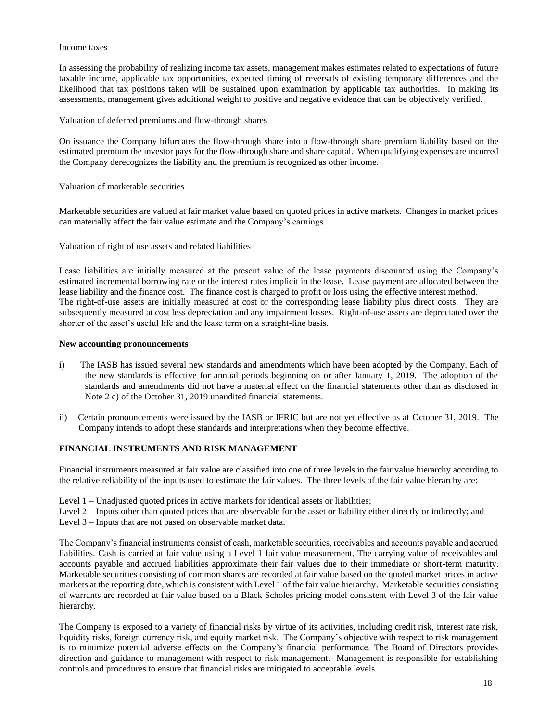#### Income taxes

In assessing the probability of realizing income tax assets, management makes estimates related to expectations of future taxable income, applicable tax opportunities, expected timing of reversals of existing temporary differences and the likelihood that tax positions taken will be sustained upon examination by applicable tax authorities. In making its assessments, management gives additional weight to positive and negative evidence that can be objectively verified.

Valuation of deferred premiums and flow-through shares

On issuance the Company bifurcates the flow-through share into a flow-through share premium liability based on the estimated premium the investor pays for the flow-through share and share capital. When qualifying expenses are incurred the Company derecognizes the liability and the premium is recognized as other income.

Valuation of marketable securities

Marketable securities are valued at fair market value based on quoted prices in active markets. Changes in market prices can materially affect the fair value estimate and the Company's earnings.

Valuation of right of use assets and related liabilities

Lease liabilities are initially measured at the present value of the lease payments discounted using the Company's estimated incremental borrowing rate or the interest rates implicit in the lease. Lease payment are allocated between the lease liability and the finance cost. The finance cost is charged to profit or loss using the effective interest method. The right-of-use assets are initially measured at cost or the corresponding lease liability plus direct costs. They are subsequently measured at cost less depreciation and any impairment losses. Right-of-use assets are depreciated over the shorter of the asset's useful life and the lease term on a straight-line basis.

### **New accounting pronouncements**

- i) The IASB has issued several new standards and amendments which have been adopted by the Company. Each of the new standards is effective for annual periods beginning on or after January 1, 2019. The adoption of the standards and amendments did not have a material effect on the financial statements other than as disclosed in Note 2 c) of the October 31, 2019 unaudited financial statements.
- ii) Certain pronouncements were issued by the IASB or IFRIC but are not yet effective as at October 31, 2019. The Company intends to adopt these standards and interpretations when they become effective.

# **FINANCIAL INSTRUMENTS AND RISK MANAGEMENT**

Financial instruments measured at fair value are classified into one of three levels in the fair value hierarchy according to the relative reliability of the inputs used to estimate the fair values. The three levels of the fair value hierarchy are:

Level 1 – Unadjusted quoted prices in active markets for identical assets or liabilities;

Level 2 – Inputs other than quoted prices that are observable for the asset or liability either directly or indirectly; and

Level 3 – Inputs that are not based on observable market data.

The Company's financial instruments consist of cash, marketable securities, receivables and accounts payable and accrued liabilities. Cash is carried at fair value using a Level 1 fair value measurement. The carrying value of receivables and accounts payable and accrued liabilities approximate their fair values due to their immediate or short-term maturity. Marketable securities consisting of common shares are recorded at fair value based on the quoted market prices in active markets at the reporting date, which is consistent with Level 1 of the fair value hierarchy. Marketable securities consisting of warrants are recorded at fair value based on a Black Scholes pricing model consistent with Level 3 of the fair value hierarchy.

The Company is exposed to a variety of financial risks by virtue of its activities, including credit risk, interest rate risk, liquidity risks, foreign currency risk, and equity market risk. The Company's objective with respect to risk management is to minimize potential adverse effects on the Company's financial performance. The Board of Directors provides direction and guidance to management with respect to risk management. Management is responsible for establishing controls and procedures to ensure that financial risks are mitigated to acceptable levels.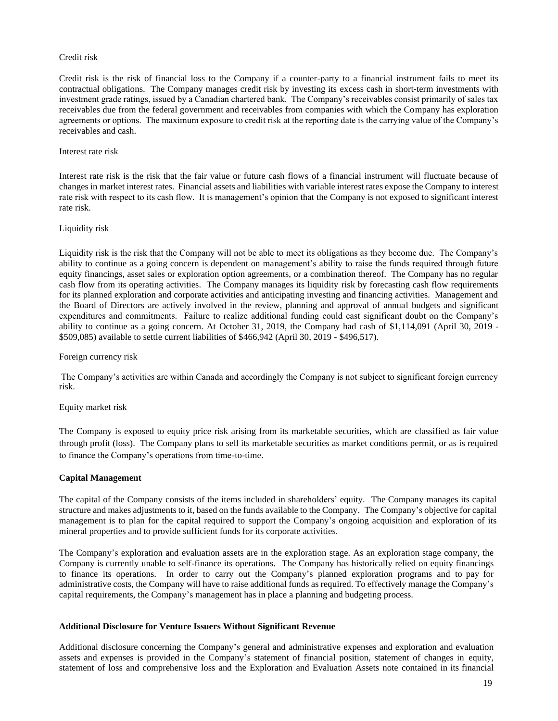### Credit risk

Credit risk is the risk of financial loss to the Company if a counter-party to a financial instrument fails to meet its contractual obligations. The Company manages credit risk by investing its excess cash in short-term investments with investment grade ratings, issued by a Canadian chartered bank. The Company's receivables consist primarily of sales tax receivables due from the federal government and receivables from companies with which the Company has exploration agreements or options. The maximum exposure to credit risk at the reporting date is the carrying value of the Company's receivables and cash.

#### Interest rate risk

Interest rate risk is the risk that the fair value or future cash flows of a financial instrument will fluctuate because of changes in market interest rates. Financial assets and liabilities with variable interest rates expose the Company to interest rate risk with respect to its cash flow. It is management's opinion that the Company is not exposed to significant interest rate risk.

#### Liquidity risk

Liquidity risk is the risk that the Company will not be able to meet its obligations as they become due. The Company's ability to continue as a going concern is dependent on management's ability to raise the funds required through future equity financings, asset sales or exploration option agreements, or a combination thereof. The Company has no regular cash flow from its operating activities. The Company manages its liquidity risk by forecasting cash flow requirements for its planned exploration and corporate activities and anticipating investing and financing activities. Management and the Board of Directors are actively involved in the review, planning and approval of annual budgets and significant expenditures and commitments. Failure to realize additional funding could cast significant doubt on the Company's ability to continue as a going concern. At October 31, 2019, the Company had cash of \$1,114,091 (April 30, 2019 - \$509,085) available to settle current liabilities of \$466,942 (April 30, 2019 - \$496,517).

Foreign currency risk

The Company's activities are within Canada and accordingly the Company is not subject to significant foreign currency risk.

#### Equity market risk

The Company is exposed to equity price risk arising from its marketable securities, which are classified as fair value through profit (loss). The Company plans to sell its marketable securities as market conditions permit, or as is required to finance the Company's operations from time-to-time.

# **Capital Management**

The capital of the Company consists of the items included in shareholders' equity. The Company manages its capital structure and makes adjustments to it, based on the funds available to the Company. The Company's objective for capital management is to plan for the capital required to support the Company's ongoing acquisition and exploration of its mineral properties and to provide sufficient funds for its corporate activities.

The Company's exploration and evaluation assets are in the exploration stage. As an exploration stage company, the Company is currently unable to self-finance its operations. The Company has historically relied on equity financings to finance its operations. In order to carry out the Company's planned exploration programs and to pay for administrative costs, the Company will have to raise additional funds as required. To effectively manage the Company's capital requirements, the Company's management has in place a planning and budgeting process.

#### **Additional Disclosure for Venture Issuers Without Significant Revenue**

Additional disclosure concerning the Company's general and administrative expenses and exploration and evaluation assets and expenses is provided in the Company's statement of financial position, statement of changes in equity, statement of loss and comprehensive loss and the Exploration and Evaluation Assets note contained in its financial